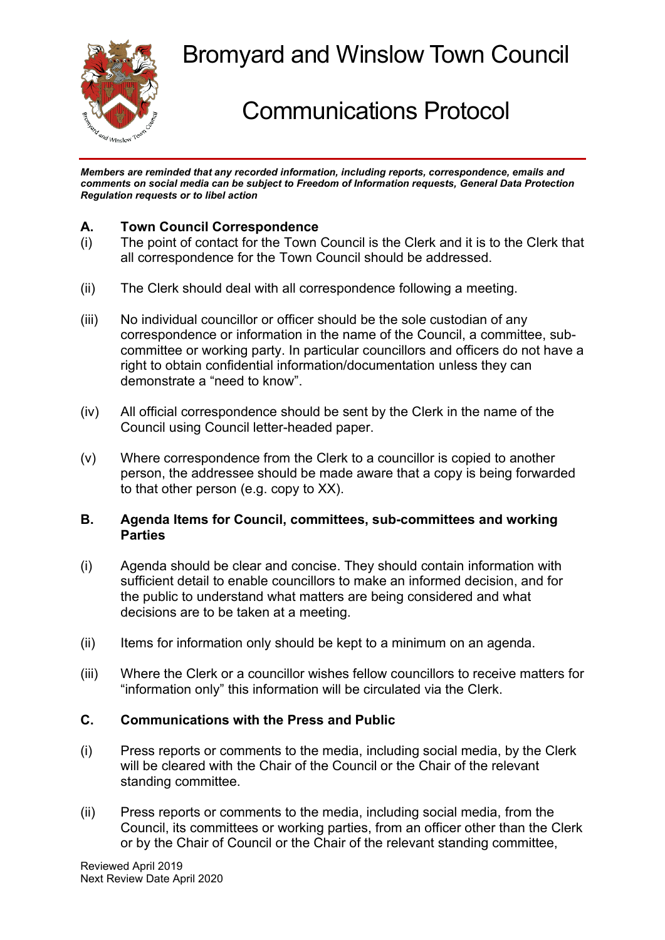

## Bromyard and Winslow Town Council

# Communications Protocol

*Members are reminded that any recorded information, including reports, correspondence, emails and comments on social media can be subject to Freedom of Information requests, General Data Protection Regulation requests or to libel action*

### **A. Town Council Correspondence**

- (i) The point of contact for the Town Council is the Clerk and it is to the Clerk that all correspondence for the Town Council should be addressed.
- (ii) The Clerk should deal with all correspondence following a meeting.
- (iii) No individual councillor or officer should be the sole custodian of any correspondence or information in the name of the Council, a committee, subcommittee or working party. In particular councillors and officers do not have a right to obtain confidential information/documentation unless they can demonstrate a "need to know".
- (iv) All official correspondence should be sent by the Clerk in the name of the Council using Council letter-headed paper.
- (v) Where correspondence from the Clerk to a councillor is copied to another person, the addressee should be made aware that a copy is being forwarded to that other person (e.g. copy to XX).

#### **B. Agenda Items for Council, committees, sub-committees and working Parties**

- (i) Agenda should be clear and concise. They should contain information with sufficient detail to enable councillors to make an informed decision, and for the public to understand what matters are being considered and what decisions are to be taken at a meeting.
- (ii) Items for information only should be kept to a minimum on an agenda.
- (iii) Where the Clerk or a councillor wishes fellow councillors to receive matters for "information only" this information will be circulated via the Clerk.

#### **C. Communications with the Press and Public**

- (i) Press reports or comments to the media, including social media, by the Clerk will be cleared with the Chair of the Council or the Chair of the relevant standing committee.
- (ii) Press reports or comments to the media, including social media, from the Council, its committees or working parties, from an officer other than the Clerk or by the Chair of Council or the Chair of the relevant standing committee,

Reviewed April 2019 Next Review Date April 2020